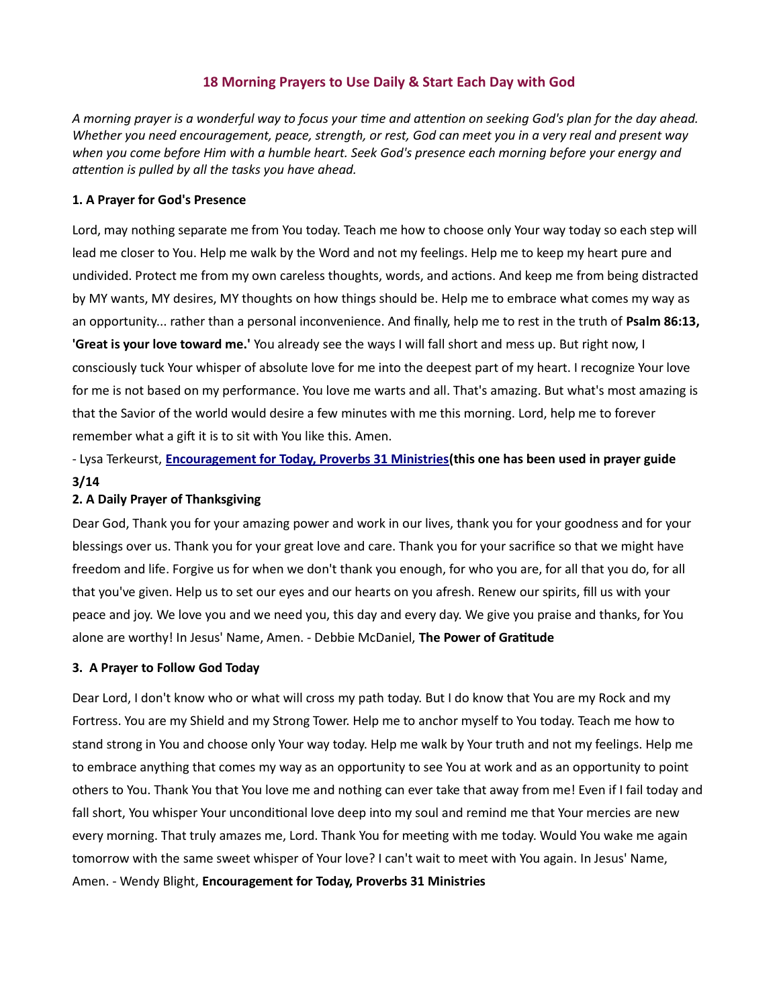# 18 Morning Prayers to Use Daily & Start Each Day with God

A morning prayer is a wonderful way to focus your time and attention on seeking God's plan for the day ahead. Whether you need encouragement, peace, strength, or rest, God can meet you in a very real and present way when you come before Him with a humble heart. Seek God's presence each morning before your energy and attention is pulled by all the tasks you have ahead.

#### 1. A Prayer for God's Presence

Lord, may nothing separate me from You today. Teach me how to choose only Your way today so each step will lead me closer to You. Help me walk by the Word and not my feelings. Help me to keep my heart pure and undivided. Protect me from my own careless thoughts, words, and actions. And keep me from being distracted by MY wants, MY desires, MY thoughts on how things should be. Help me to embrace what comes my way as an opportunity... rather than a personal inconvenience. And finally, help me to rest in the truth of Psalm 86:13, 'Great is your love toward me.' You already see the ways I will fall short and mess up. But right now, I consciously tuck Your whisper of absolute love for me into the deepest part of my heart. I recognize Your love for me is not based on my performance. You love me warts and all. That's amazing. But what's most amazing is that the Savior of the world would desire a few minutes with me this morning. Lord, help me to forever remember what a gift it is to sit with You like this. Amen.

- Lysa Terkeurst, Encouragement for Today, Proverbs 31 Ministries(this one has been used in prayer guide 3/14

# 2. A Daily Prayer of Thanksgiving

Dear God, Thank you for your amazing power and work in our lives, thank you for your goodness and for your blessings over us. Thank you for your great love and care. Thank you for your sacrifice so that we might have freedom and life. Forgive us for when we don't thank you enough, for who you are, for all that you do, for all that you've given. Help us to set our eyes and our hearts on you afresh. Renew our spirits, fill us with your peace and joy. We love you and we need you, this day and every day. We give you praise and thanks, for You alone are worthy! In Jesus' Name, Amen. - Debbie McDaniel, The Power of Gratitude

#### 3. A Prayer to Follow God Today

Dear Lord, I don't know who or what will cross my path today. But I do know that You are my Rock and my Fortress. You are my Shield and my Strong Tower. Help me to anchor myself to You today. Teach me how to stand strong in You and choose only Your way today. Help me walk by Your truth and not my feelings. Help me to embrace anything that comes my way as an opportunity to see You at work and as an opportunity to point others to You. Thank You that You love me and nothing can ever take that away from me! Even if I fail today and fall short, You whisper Your unconditional love deep into my soul and remind me that Your mercies are new every morning. That truly amazes me, Lord. Thank You for meeting with me today. Would You wake me again tomorrow with the same sweet whisper of Your love? I can't wait to meet with You again. In Jesus' Name, Amen. - Wendy Blight, Encouragement for Today, Proverbs 31 Ministries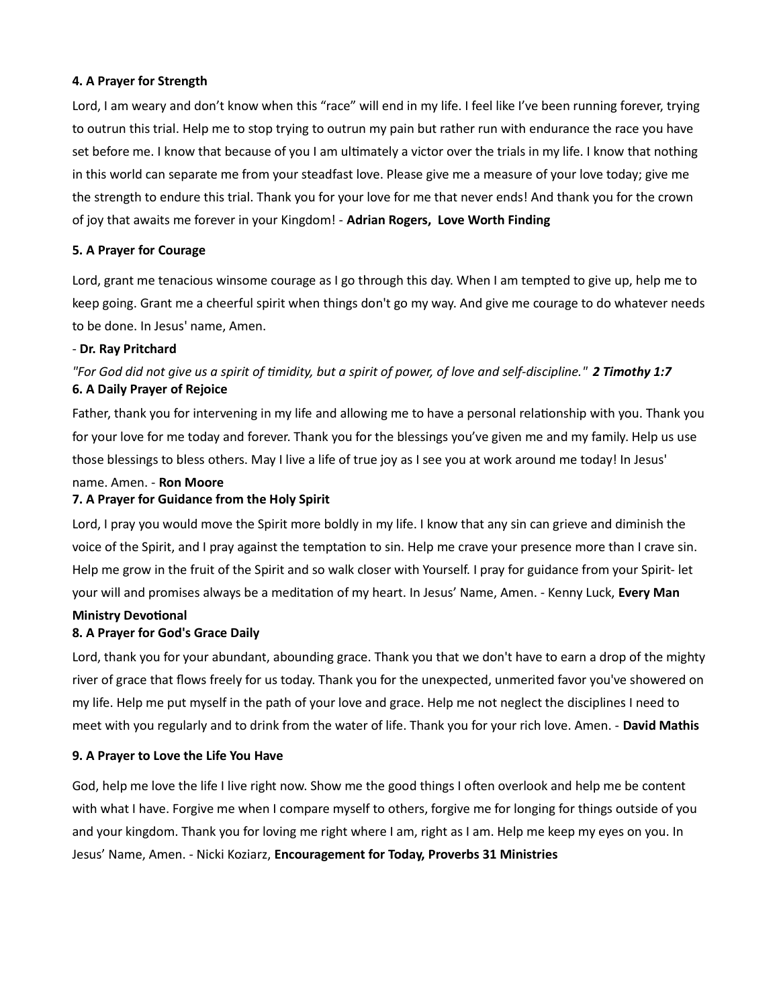# 4. A Prayer for Strength

Lord, I am weary and don't know when this "race" will end in my life. I feel like I've been running forever, trying to outrun this trial. Help me to stop trying to outrun my pain but rather run with endurance the race you have set before me. I know that because of you I am ultimately a victor over the trials in my life. I know that nothing in this world can separate me from your steadfast love. Please give me a measure of your love today; give me the strength to endure this trial. Thank you for your love for me that never ends! And thank you for the crown of joy that awaits me forever in your Kingdom! - Adrian Rogers, Love Worth Finding

## 5. A Prayer for Courage

Lord, grant me tenacious winsome courage as I go through this day. When I am tempted to give up, help me to keep going. Grant me a cheerful spirit when things don't go my way. And give me courage to do whatever needs to be done. In Jesus' name, Amen.

## - Dr. Ray Pritchard

# "For God did not give us a spirit of timidity, but a spirit of power, of love and self-discipline." 2 Timothy 1:7 6. A Daily Prayer of Rejoice

Father, thank you for intervening in my life and allowing me to have a personal relationship with you. Thank you for your love for me today and forever. Thank you for the blessings you've given me and my family. Help us use those blessings to bless others. May I live a life of true joy as I see you at work around me today! In Jesus'

## name. Amen. - Ron Moore

# 7. A Prayer for Guidance from the Holy Spirit

Lord, I pray you would move the Spirit more boldly in my life. I know that any sin can grieve and diminish the voice of the Spirit, and I pray against the temptation to sin. Help me crave your presence more than I crave sin. Help me grow in the fruit of the Spirit and so walk closer with Yourself. I pray for guidance from your Spirit- let your will and promises always be a meditation of my heart. In Jesus' Name, Amen. - Kenny Luck, Every Man

# **Ministry Devotional** 8. A Prayer for God's Grace Daily

Lord, thank you for your abundant, abounding grace. Thank you that we don't have to earn a drop of the mighty river of grace that flows freely for us today. Thank you for the unexpected, unmerited favor you've showered on my life. Help me put myself in the path of your love and grace. Help me not neglect the disciplines I need to meet with you regularly and to drink from the water of life. Thank you for your rich love. Amen. - David Mathis

#### 9. A Prayer to Love the Life You Have

God, help me love the life I live right now. Show me the good things I often overlook and help me be content with what I have. Forgive me when I compare myself to others, forgive me for longing for things outside of you and your kingdom. Thank you for loving me right where I am, right as I am. Help me keep my eyes on you. In Jesus' Name, Amen. - Nicki Koziarz, Encouragement for Today, Proverbs 31 Ministries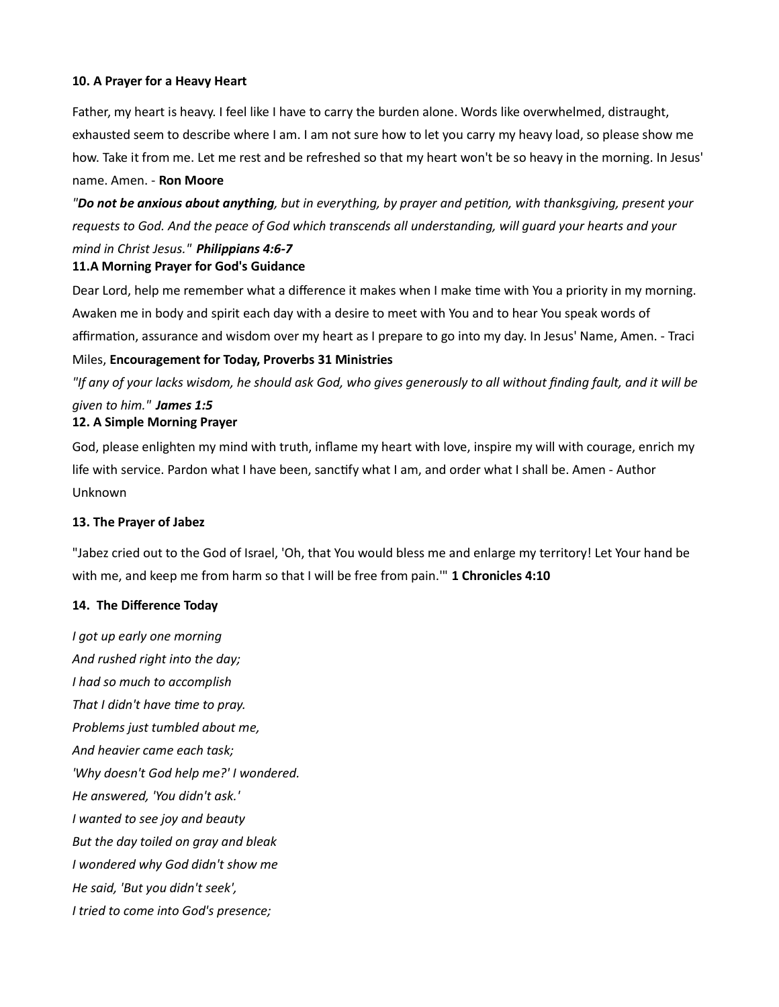# 10. A Prayer for a Heavy Heart

Father, my heart is heavy. I feel like I have to carry the burden alone. Words like overwhelmed, distraught, exhausted seem to describe where I am. I am not sure how to let you carry my heavy load, so please show me how. Take it from me. Let me rest and be refreshed so that my heart won't be so heavy in the morning. In Jesus' name. Amen. - Ron Moore

"Do not be anxious about anything, but in everything, by prayer and petition, with thanksgiving, present your requests to God. And the peace of God which transcends all understanding, will guard your hearts and your

# mind in Christ Jesus." Philippians 4:6-7

# 11.A Morning Prayer for God's Guidance

Dear Lord, help me remember what a difference it makes when I make time with You a priority in my morning. Awaken me in body and spirit each day with a desire to meet with You and to hear You speak words of affirmation, assurance and wisdom over my heart as I prepare to go into my day. In Jesus' Name, Amen. - Traci

# Miles, Encouragement for Today, Proverbs 31 Ministries

"If any of your lacks wisdom, he should ask God, who gives generously to all without finding fault, and it will be given to him." James 1:5

# 12. A Simple Morning Prayer

God, please enlighten my mind with truth, inflame my heart with love, inspire my will with courage, enrich my life with service. Pardon what I have been, sanctify what I am, and order what I shall be. Amen - Author Unknown

# 13. The Prayer of Jabez

"Jabez cried out to the God of Israel, 'Oh, that You would bless me and enlarge my territory! Let Your hand be with me, and keep me from harm so that I will be free from pain." 1 Chronicles 4:10

# 14. The Difference Today

I got up early one morning And rushed right into the day; I had so much to accomplish That I didn't have time to pray. Problems just tumbled about me, And heavier came each task; 'Why doesn't God help me?' I wondered. He answered, 'You didn't ask.' I wanted to see joy and beauty But the day toiled on gray and bleak I wondered why God didn't show me He said, 'But you didn't seek', I tried to come into God's presence;